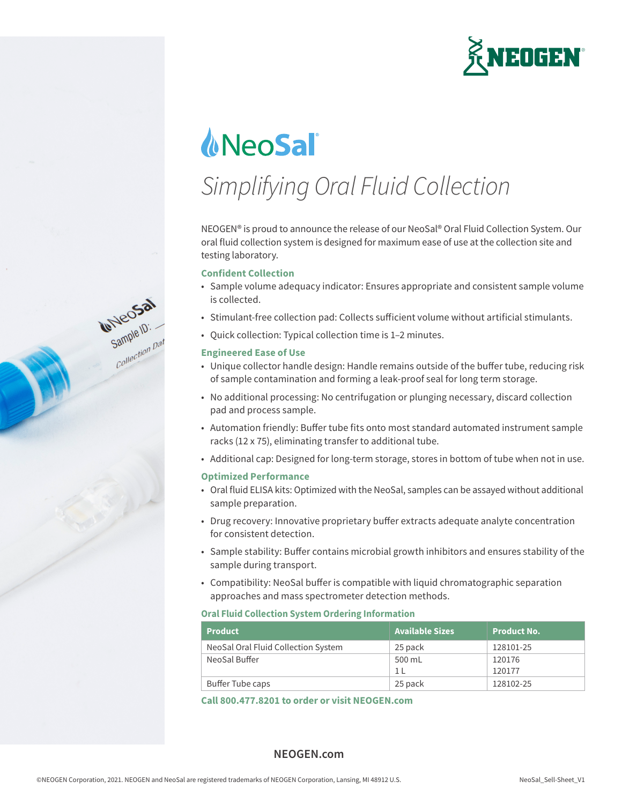

# **NeoSal**

## *Simplifying Oral Fluid Collection*

NEOGEN® is proud to announce the release of our NeoSal® Oral Fluid Collection System. Our oral fluid collection system is designed for maximum ease of use at the collection site and testing laboratory.

#### **Confident Collection**

- Sample volume adequacy indicator: Ensures appropriate and consistent sample volume is collected.
- Stimulant-free collection pad: Collects sufficient volume without artificial stimulants.
- Quick collection: Typical collection time is 1–2 minutes.

#### **Engineered Ease of Use**

Gample ID:

- Unique collector handle design: Handle remains outside of the buffer tube, reducing risk of sample contamination and forming a leak-proof seal for long term storage.
- No additional processing: No centrifugation or plunging necessary, discard collection pad and process sample.
- Automation friendly: Buffer tube fits onto most standard automated instrument sample racks (12 x 75), eliminating transfer to additional tube.
- Additional cap: Designed for long-term storage, stores in bottom of tube when not in use.

#### **Optimized Performance**

- Oral fluid ELISA kits: Optimized with the NeoSal, samples can be assayed without additional sample preparation.
- Drug recovery: Innovative proprietary buffer extracts adequate analyte concentration for consistent detection.
- Sample stability: Buffer contains microbial growth inhibitors and ensures stability of the sample during transport.
- Compatibility: NeoSal buffer is compatible with liquid chromatographic separation approaches and mass spectrometer detection methods.

#### **Oral Fluid Collection System Ordering Information**

| <b>Product</b>                      | <b>Available Sizes</b> | <b>Product No.</b> |
|-------------------------------------|------------------------|--------------------|
| NeoSal Oral Fluid Collection System | 25 pack                | 128101-25          |
| NeoSal Buffer                       | 500 mL                 | 120176             |
|                                     | 1 <sub>1</sub>         | 120177             |
| Buffer Tube caps                    | 25 pack                | 128102-25          |

**Call 800.477.8201 to order or visit NEOGEN.com**

#### **NEOGEN.com**